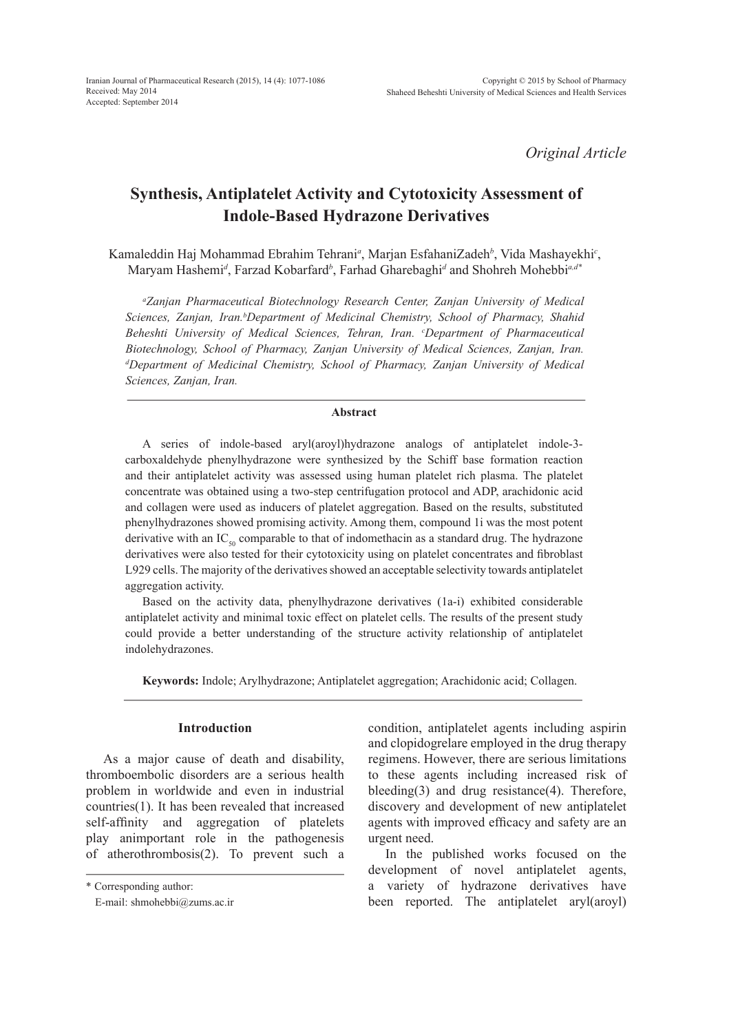*Original Article*

# **Synthesis, Antiplatelet Activity and Cytotoxicity Assessment of Indole-Based Hydrazone Derivatives**

Kamaleddin Haj Mohammad Ebrahim Tehrani*<sup>a</sup>* , Marjan EsfahaniZadeh*<sup>b</sup>* , Vida Mashayekhi*<sup>c</sup>* , Maryam Hashemi*<sup>d</sup>* , Farzad Kobarfard*<sup>b</sup>* , Farhad Gharebaghi*<sup>d</sup>* and Shohreh Mohebbi*a,d\**

*a Zanjan Pharmaceutical Biotechnology Research Center, Zanjan University of Medical*  Sciences, Zanjan, Iran.<sup>b</sup>Department of Medicinal Chemistry, School of Pharmacy, Shahid Beheshti University of Medical Sciences, Tehran, Iran. <sup>c</sup>Department of Pharmaceutical *Biotechnology, School of Pharmacy, Zanjan University of Medical Sciences, Zanjan, Iran. d Department of Medicinal Chemistry, School of Pharmacy, Zanjan University of Medical Sciences, Zanjan, Iran.*

### **Abstract**

A series of indole-based aryl(aroyl)hydrazone analogs of antiplatelet indole-3 carboxaldehyde phenylhydrazone were synthesized by the Schiff base formation reaction and their antiplatelet activity was assessed using human platelet rich plasma. The platelet concentrate was obtained using a two-step centrifugation protocol and ADP, arachidonic acid and collagen were used as inducers of platelet aggregation. Based on the results, substituted phenylhydrazones showed promising activity. Among them, compound 1i was the most potent derivative with an  $IC_{\rm so}$  comparable to that of indomethacin as a standard drug. The hydrazone derivatives were also tested for their cytotoxicity using on platelet concentrates and fibroblast L929 cells. The majority of the derivatives showed an acceptable selectivity towards antiplatelet aggregation activity.

Based on the activity data, phenylhydrazone derivatives (1a-i) exhibited considerable antiplatelet activity and minimal toxic effect on platelet cells. The results of the present study could provide a better understanding of the structure activity relationship of antiplatelet indolehydrazones.

**Keywords:** Indole; Arylhydrazone; Antiplatelet aggregation; Arachidonic acid; Collagen.

# **Introduction**

As a major cause of death and disability, thromboembolic disorders are a serious health problem in worldwide and even in industrial countries(1). It has been revealed that increased self-affinity and aggregation of platelets play animportant role in the pathogenesis of atherothrombosis(2). To prevent such a condition, antiplatelet agents including aspirin and clopidogrelare employed in the drug therapy regimens. However, there are serious limitations to these agents including increased risk of bleeding(3) and drug resistance(4). Therefore, discovery and development of new antiplatelet agents with improved efficacy and safety are an urgent need.

In the published works focused on the development of novel antiplatelet agents, a variety of hydrazone derivatives have been reported. The antiplatelet aryl(aroyl)

<sup>\*</sup> Corresponding author:

E-mail: shmohebbi@zums.ac.ir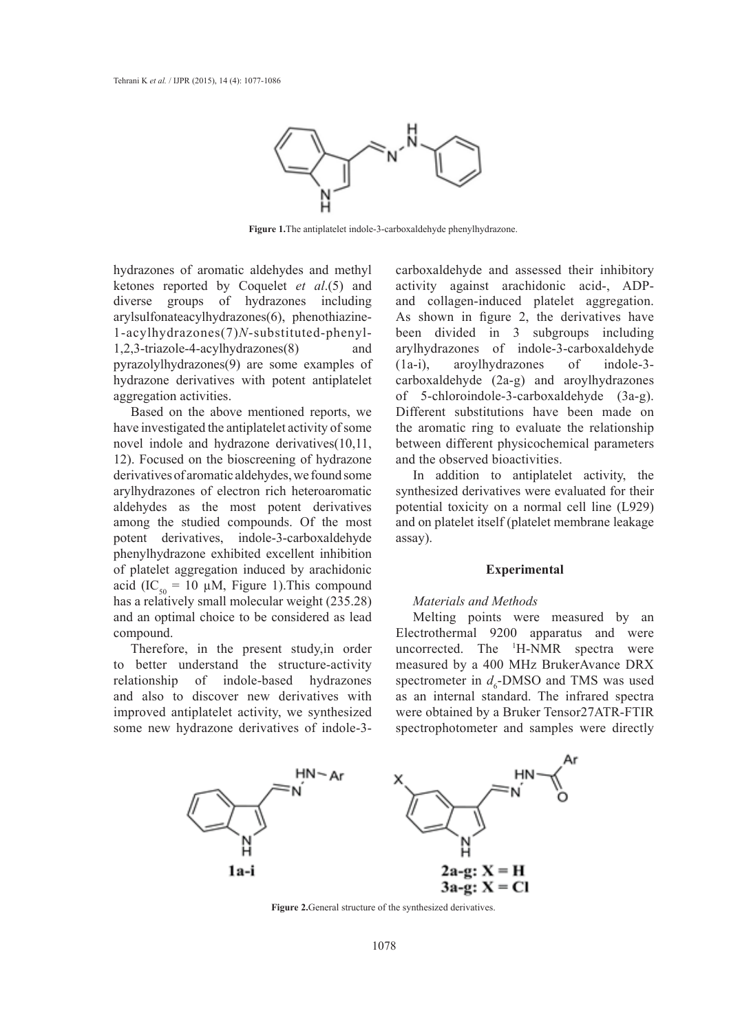

**Figure 1.**The antiplatelet indole-3-carboxaldehyde phenylhydrazone.

hydrazones of aromatic aldehydes and methyl ketones reported by Coquelet *et al*.(5) and diverse groups of hydrazones including arylsulfonateacylhydrazones(6), phenothiazine-1-acylhydrazones(7)*N*-substituted-phenyl-1,2,3-triazole-4-acylhydrazones(8) and pyrazolylhydrazones(9) are some examples of hydrazone derivatives with potent antiplatelet aggregation activities.

Based on the above mentioned reports, we have investigated the antiplatelet activity of some novel indole and hydrazone derivatives(10,11, 12). Focused on the bioscreening of hydrazone derivatives of aromatic aldehydes, we found some arylhydrazones of electron rich heteroaromatic aldehydes as the most potent derivatives among the studied compounds. Of the most potent derivatives, indole-3-carboxaldehyde phenylhydrazone exhibited excellent inhibition of platelet aggregation induced by arachidonic acid (IC<sub>50</sub> = 10 µM, Figure 1). This compound has a relatively small molecular weight (235.28) and an optimal choice to be considered as lead compound.

Therefore, in the present study,in order to better understand the structure-activity relationship of indole-based hydrazones and also to discover new derivatives with improved antiplatelet activity, we synthesized some new hydrazone derivatives of indole-3carboxaldehyde and assessed their inhibitory activity against arachidonic acid-, ADPand collagen-induced platelet aggregation. As shown in figure 2, the derivatives have been divided in 3 subgroups including arylhydrazones of indole-3-carboxaldehyde (1a-i), aroylhydrazones of indole-3 carboxaldehyde (2a-g) and aroylhydrazones of 5-chloroindole-3-carboxaldehyde (3a-g). Different substitutions have been made on the aromatic ring to evaluate the relationship between different physicochemical parameters and the observed bioactivities.

In addition to antiplatelet activity, the synthesized derivatives were evaluated for their potential toxicity on a normal cell line (L929) and on platelet itself (platelet membrane leakage assay).

### **Experimental**

### *Materials and Methods*

Melting points were measured by an Electrothermal 9200 apparatus and were uncorrected. The 1 H-NMR spectra were measured by a 400 MHz BrukerAvance DRX spectrometer in  $d_6$ -DMSO and TMS was used as an internal standard. The infrared spectra were obtained by a Bruker Tensor27ATR-FTIR spectrophotometer and samples were directly



**Figure 2.**General structure of the synthesized derivatives.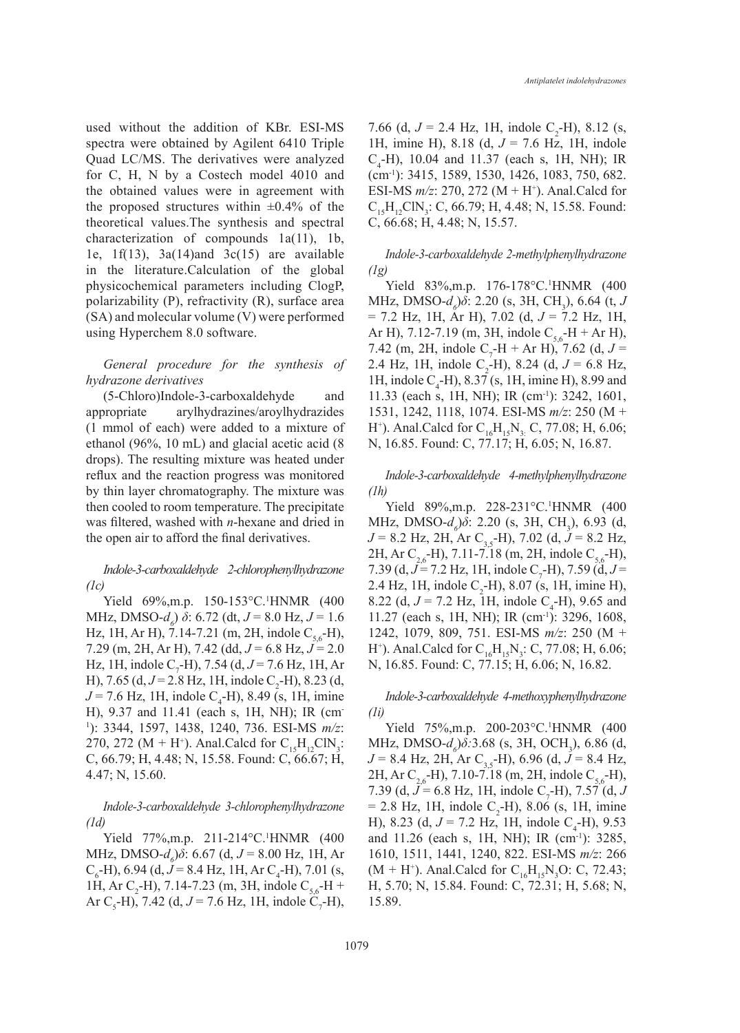used without the addition of KBr. ESI-MS spectra were obtained by Agilent 6410 Triple Quad LC/MS. The derivatives were analyzed for C, H, N by a Costech model 4010 and the obtained values were in agreement with the proposed structures within  $\pm 0.4\%$  of the theoretical values.The synthesis and spectral characterization of compounds 1a(11), 1b, 1e,  $1f(13)$ ,  $3a(14)$  and  $3c(15)$  are available in the literature.Calculation of the global physicochemical parameters including ClogP, polarizability (P), refractivity (R), surface area (SA) and molecular volume (V) were performed using Hyperchem 8.0 software.

### *General procedure for the synthesis of hydrazone derivatives*

(5-Chloro)Indole-3-carboxaldehyde and appropriate arylhydrazines/aroylhydrazides (1 mmol of each) were added to a mixture of ethanol (96%, 10 mL) and glacial acetic acid (8 drops). The resulting mixture was heated under reflux and the reaction progress was monitored by thin layer chromatography. The mixture was then cooled to room temperature. The precipitate was filtered, washed with *n*-hexane and dried in the open air to afford the final derivatives.

*Indole-3-carboxaldehyde 2-chlorophenylhydrazone (1c)*

Yield 69%, m.p. 150-153 °C. <sup>1</sup>HNMR (400 MHz, DMSO- $d_6$ ) *δ*: 6.72 (dt,  $J = 8.0$  Hz,  $J = 1.6$ ) Hz, 1H, Ar H), 7.14-7.21 (m, 2H, indole  $C_{56}$ -H), 7.29 (m, 2H, Ar H), 7.42 (dd, *J* = 6.8 Hz, *J* = 2.0 Hz, 1H, indole  $C_7$ -H), 7.54 (d, J = 7.6 Hz, 1H, Ar H), 7.65 (d,  $J = 2.8$  Hz, 1H, indole C<sub>2</sub>-H), 8.23 (d,  $J = 7.6$  Hz, 1H, indole C<sub>4</sub>-H), 8.49 (s, 1H, imine H), 9.37 and 11.41 (each s, 1H, NH); IR (cm-1 ): 3344, 1597, 1438, 1240, 736. ESI-MS *m/z*: 270, 272 (M + H<sup>+</sup>). Anal.Calcd for  $C_{15}H_{12}CIN_3$ : C, 66.79; H, 4.48; N, 15.58. Found: C, 66.67; H, 4.47; N, 15.60.

*Indole-3-carboxaldehyde 3-chlorophenylhydrazone (1d)*

Yield 77%, m.p. 211-214 °C. <sup>1</sup>HNMR (400 **MHz**, **DMSO**- $d_6$ ) $\delta$ : 6.67 (d, *J* = 8.00 Hz, 1H, Ar  $C_{6}$ -H), 6.94 (d, *J* = 8.4 Hz, 1H, Ar  $C_{4}$ -H), 7.01 (s, 1H, Ar C<sub>2</sub>-H), 7.14-7.23 (m, 3H, indole C<sub>5,6</sub>-H + Ar C<sub>5</sub>-H), 7.42 (d,  $J = 7.6$  Hz, 1H, indole C<sub>7</sub>-H),

7.66 (d,  $J = 2.4$  Hz, 1H, indole C<sub>2</sub>-H), 8.12 (s, 1H, imine H), 8.18 (d, *J* = 7.6 Hz, 1H, indole  $C_4$ -H), 10.04 and 11.37 (each s, 1H, NH); IR (cm-1): 3415, 1589, 1530, 1426, 1083, 750, 682. ESI-MS  $m/z$ : 270, 272 (M + H<sup>+</sup>). Anal.Calcd for  $C_{15}H_{12}CN_3$ : C, 66.79; H, 4.48; N, 15.58. Found: C, 66.68; H, 4.48; N, 15.57.

# *Indole-3-carboxaldehyde 2-methylphenylhydrazone (1g)*

Yield 83%, m.p. 176-178°C.<sup>1</sup>HNMR (400 **MHz**, **DMSO**- $d_δ$ ) $δ$ : 2.20 (s, 3H, CH<sub>3</sub>), 6.64 (t, *J* = 7.2 Hz, 1H, Ar H), 7.02 (d, *J* = 7.2 Hz, 1H, Ar H), 7.12-7.19 (m, 3H, indole  $C_{56}$ -H + Ar H), 7.42 (m, 2H, indole C<sub>7</sub>-H + Ar H), 7.62 (d,  $J =$ 2.4 Hz, 1H, indole C<sub>2</sub>-H), 8.24 (d,  $J = 6.8$  Hz, 1H, indole  $C_4$ -H), 8.37 (s, 1H, imine H), 8.99 and 11.33 (each s, 1H, NH); IR (cm-1): 3242, 1601, 1531, 1242, 1118, 1074. ESI-MS *m/z*: 250 (M + H<sup>+</sup>). Anal.Calcd for  $C_{16}H_{15}N_{3}$ : C, 77.08; H, 6.06; N, 16.85. Found: C, 77.17; H, 6.05; N, 16.87.

*Indole-3-carboxaldehyde 4-methylphenylhydrazone (1h)*

Yield 89%, m.p. 228-231 °C. <sup>1</sup>HNMR (400 MHz, DMSO-*d<sub>6</sub>*) $\delta$ : 2.20 (s, 3H, CH<sub>3</sub>), 6.93 (d,  $J = 8.2$  Hz, 2H, Ar C<sub>3,5</sub>-H), 7.02 (d,  $J = 8.2$  Hz, 2H, Ar C<sub>26</sub>-H), 7.11-7.18 (m, 2H, indole C<sub>56</sub>-H), 7.39 (d, J = 7.2 Hz, 1H, indole C<sub>7</sub>-H), 7.59 (d, J = 2.4 Hz, 1H, indole  $C_2$ -H), 8.07 (s, 1H, imine H), 8.22 (d,  $J = 7.2$  Hz, 1H, indole C<sub>4</sub>-H), 9.65 and 11.27 (each s, 1H, NH); IR (cm-1): 3296, 1608, 1242, 1079, 809, 751. ESI-MS *m/z*: 250 (M + H<sup>+</sup>). Anal.Calcd for  $C_{16}H_{15}N_3$ : C, 77.08; H, 6.06; N, 16.85. Found: C, 77.15; H, 6.06; N, 16.82.

*Indole-3-carboxaldehyde 4-methoxyphenylhydrazone (1i)*

Yield 75%, m.p. 200-203 °C. <sup>1</sup>HNMR (400 MHz, DMSO-*d<sub>6</sub>*) $\delta$ :3.68 (s, 3H, OCH<sub>3</sub>), 6.86 (d,  $J = 8.4$  Hz, 2H, Ar C<sub>3,5</sub>-H), 6.96 (d,  $J = 8.4$  Hz, 2H, Ar C<sub>2,6</sub>-H), 7.10-7.18 (m, 2H, indole C<sub>5,6</sub>-H), 7.39 (d,  $J = 6.8$  Hz, 1H, indole C<sub>7</sub>-H), 7.57 (d, J  $= 2.8$  Hz, 1H, indole C<sub>2</sub>-H), 8.06 (s, 1H, imine H), 8.23 (d,  $J = 7.2$  Hz, 1H, indole C<sub>4</sub>-H), 9.53 and 11.26 (each s, 1H, NH); IR (cm<sup>-1</sup>): 3285, 1610, 1511, 1441, 1240, 822. ESI-MS *m/z*: 266  $(M + H<sup>+</sup>)$ . Anal.Calcd for C<sub>16</sub>H<sub>15</sub>N<sub>3</sub>O: C, 72.43; H, 5.70; N, 15.84. Found: C, 72.31; H, 5.68; N, 15.89.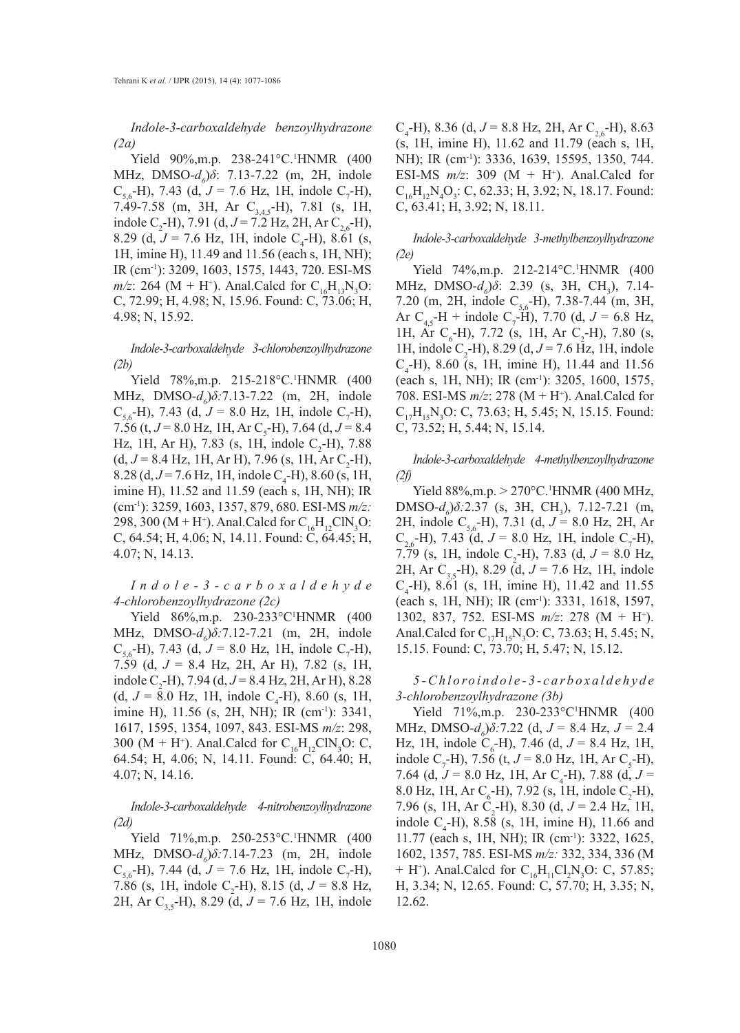*Indole-3-carboxaldehyde benzoylhydrazone (2a)*

Yield 90%,m.p. 238-241°C.<sup>1</sup>HNMR (400 MHz, DMSO-*d<sub>6</sub>*)δ: 7.13-7.22 (m, 2H, indole  $C_{5,6}$ -H), 7.43 (d,  $J = 7.6$  Hz, 1H, indole C<sub>7</sub>-H), 7.49-7.58 (m, 3H, Ar  $C_{3.45}$ -H), 7.81 (s, 1H, indole C<sub>2</sub>-H), 7.91 (d,  $J = 7.2$  Hz, 2H, Ar C<sub>2,6</sub>-H), 8.29 (d,  $J = 7.6$  Hz, 1H, indole C<sub>4</sub>-H), 8.61 (s, 1H, imine H), 11.49 and 11.56 (each s, 1H, NH); IR (cm-1): 3209, 1603, 1575, 1443, 720. ESI-MS  $m/z$ : 264 (M + H<sup>+</sup>). Anal.Calcd for C<sub>16</sub>H<sub>13</sub>N<sub>3</sub>O: C, 72.99; H, 4.98; N, 15.96. Found: C, 73.06; H, 4.98; N, 15.92.

*Indole-3-carboxaldehyde 3-chlorobenzoylhydrazone (2b)*

Yield 78%, m.p. 215-218 °C. <sup>1</sup>HNMR (400 **MHz**, DMSO-*d<sub>6</sub>*) $\delta$ :7.13-7.22 (m, 2H, indole  $C_{5,6}$ -H), 7.43 (d,  $J = 8.0$  Hz, 1H, indole C<sub>7</sub>-H), 7.56 (t,  $J = 8.0$  Hz, 1H, Ar C<sub>5</sub>-H), 7.64 (d,  $J = 8.4$ ) Hz, 1H, Ar H), 7.83 (s, 1H, indole  $C_2$ -H), 7.88  $(d, J = 8.4 \text{ Hz}, 1\text{H}, \text{Ar H}), 7.96 \text{ (s, 1H, Ar C}_2\text{-H}),$  $8.28$  (d,  $J = 7.6$  Hz, 1H, indole C<sub>4</sub>-H), 8.60 (s, 1H, imine H), 11.52 and 11.59 (each s, 1H, NH); IR (cm-1): 3259, 1603, 1357, 879, 680. ESI-MS *m/z:* 298, 300 (M + H<sup>+</sup>). Anal.Calcd for  $C_{16}H_{12}CN_3O$ : C, 64.54; H, 4.06; N, 14.11. Found: C, 64.45; H, 4.07; N, 14.13.

*I n d o l e - 3 - c a r b o x a l d e h y d e 4-chlorobenzoylhydrazone (2c)*

Yield 86%, m.p. 230-233°C'HNMR (400 MHz, DMSO-*d<sub>6</sub>*) $\delta$ :7.12-7.21 (m, 2H, indole  $C_{5,6}$ -H), 7.43 (d,  $J = 8.0$  Hz, 1H, indole C<sub>7</sub>-H), 7.59 (d, *J* = 8.4 Hz, 2H, Ar H), 7.82 (s, 1H, indole C<sub>2</sub>-H), 7.94 (d,  $J = 8.4$  Hz, 2H, Ar H), 8.28  $(d, J = 8.0 \text{ Hz}, 1\text{H}, \text{ indole } C_4\text{-H}, 8.60 \text{ (s, 1H},$ imine H), 11.56 (s, 2H, NH); IR (cm<sup>-1</sup>): 3341, 1617, 1595, 1354, 1097, 843. ESI-MS *m/z*: 298, 300 (M + H<sup>+</sup>). Anal.Calcd for  $C_{16}H_{12}CIN_3O$ : C, 64.54; H, 4.06; N, 14.11. Found: C, 64.40; H, 4.07; N, 14.16.

*Indole-3-carboxaldehyde 4-nitrobenzoylhydrazone (2d)*

Yield 71%, m.p. 250-253 °C. <sup>1</sup>HNMR (400 MHz, DMSO-*d<sub>6</sub>*) $\delta$ :7.14-7.23 (m, 2H, indole  $C_{5,6}$ -H), 7.44 (d,  $J = 7.6$  Hz, 1H, indole C<sub>7</sub>-H), 7.86 (s, 1H, indole C<sub>2</sub>-H), 8.15 (d,  $J = 8.8$  Hz, 2H, Ar C<sub>35</sub>-H), 8.29 (d,  $J = 7.6$  Hz, 1H, indole

 $C_4$ -H), 8.36 (d,  $J = 8.8$  Hz, 2H, Ar  $C_{2,6}$ -H), 8.63 (s, 1H, imine H), 11.62 and 11.79 (each s, 1H, NH); IR (cm<sup>-1</sup>): 3336, 1639, 15595, 1350, 744. ESI-MS  $m/z$ : 309 (M + H<sup>+</sup>). Anal.Calcd for  $C_{16}H_{12}N_4O_3$ : C, 62.33; H, 3.92; N, 18.17. Found: C, 63.41; H, 3.92; N, 18.11.

*Indole-3-carboxaldehyde 3-methylbenzoylhydrazone (2e)*

Yield 74%, m.p. 212-214 °C. <sup>1</sup>HNMR (400 MHz, DMSO-*d<sub>6</sub>*) $\delta$ : 2.39 (s, 3H, CH<sub>3</sub>), 7.14-7.20 (m, 2H, indole  $C_{5.6}$ -H), 7.38-7.44 (m, 3H, Ar  $C_{4,5}$ -H + indole  $C_7$ -H), 7.70 (d,  $J = 6.8$  Hz, 1H, Ar C<sub>6</sub>-H), 7.72 (s, 1H, Ar C<sub>2</sub>-H), 7.80 (s, 1H, indole  $C_2$ -H), 8.29 (d,  $J = 7.6$  Hz, 1H, indole  $C_4$ -H), 8.60 (s, 1H, imine H), 11.44 and 11.56 (each s, 1H, NH); IR (cm-1): 3205, 1600, 1575, 708. ESI-MS  $m/z$ : 278 (M + H<sup>+</sup>). Anal.Calcd for  $C_{17}H_{15}N_3O$ : C, 73.63; H, 5.45; N, 15.15. Found: C, 73.52; H, 5.44; N, 15.14.

*Indole-3-carboxaldehyde 4-methylbenzoylhydrazone (2f)*

Yield  $88\%, m.p. > 270\degree C$ .<sup>1</sup>HNMR (400 MHz,  $DMSO-d<sub>6</sub>)\delta$ :2.37 (s, 3H, CH<sub>3</sub>), 7.12-7.21 (m, 2H, indole C<sub>56</sub>-H), 7.31 (d,  $J = 8.0$  Hz, 2H, Ar  $C_{2,6}$ -H), 7.43 (d,  $J = 8.0$  Hz, 1H, indole C<sub>7</sub>-H), 7.79 (s, 1H, indole C<sub>2</sub>-H), 7.83 (d,  $J = 8.0$  Hz, 2H, Ar C<sub>3,5</sub>-H), 8.29 (d,  $J = 7.6$  Hz, 1H, indole  $C_4$ -H), 8.61 (s, 1H, imine H), 11.42 and 11.55 (each s, 1H, NH); IR (cm<sup>-1</sup>): 3331, 1618, 1597, 1302, 837, 752. ESI-MS *m/z*: 278 (M + H+ ). Anal.Calcd for  $C_{17}H_{15}N_3O$ : C, 73.63; H, 5.45; N, 15.15. Found: C, 73.70; H, 5.47; N, 15.12.

# *5 - C h l o ro i n d o l e - 3 - c a r b o x a l d e h y d e 3-chlorobenzoylhydrazone (3b)*

Yield 71%, m.p. 230-233°C'HNMR (400  $MHz$ ,  $DMSO-d_0\delta$ :7.22 (d,  $J = 8.4$  Hz,  $J = 2.4$ Hz, 1H, indole C<sub>6</sub>-H), 7.46 (d,  $J = 8.4$  Hz, 1H, indole C<sub>7</sub>-H), 7.56 (t,  $J = 8.0$  Hz, 1H, Ar C<sub>5</sub>-H), 7.64 (d,  $J = 8.0$  Hz, 1H, Ar C<sub>4</sub>-H), 7.88 (d,  $J =$ 8.0 Hz, 1H, Ar  $C_6$ -H), 7.92 (s, 1H, indole  $C_2$ -H), 7.96 (s, 1H, Ar C<sub>2</sub>-H), 8.30 (d,  $J = 2.4$  Hz, 1H, indole  $C_4$ -H), 8.58 (s, 1H, imine H), 11.66 and 11.77 (each s, 1H, NH); IR (cm-1): 3322, 1625, 1602, 1357, 785. ESI-MS *m/z:* 332, 334, 336 (M + H<sup>+</sup>). Anal.Calcd for  $C_{16}H_{11}Cl_2N_3O$ : C, 57.85; H, 3.34; N, 12.65. Found: C, 57.70; H, 3.35; N, 12.62.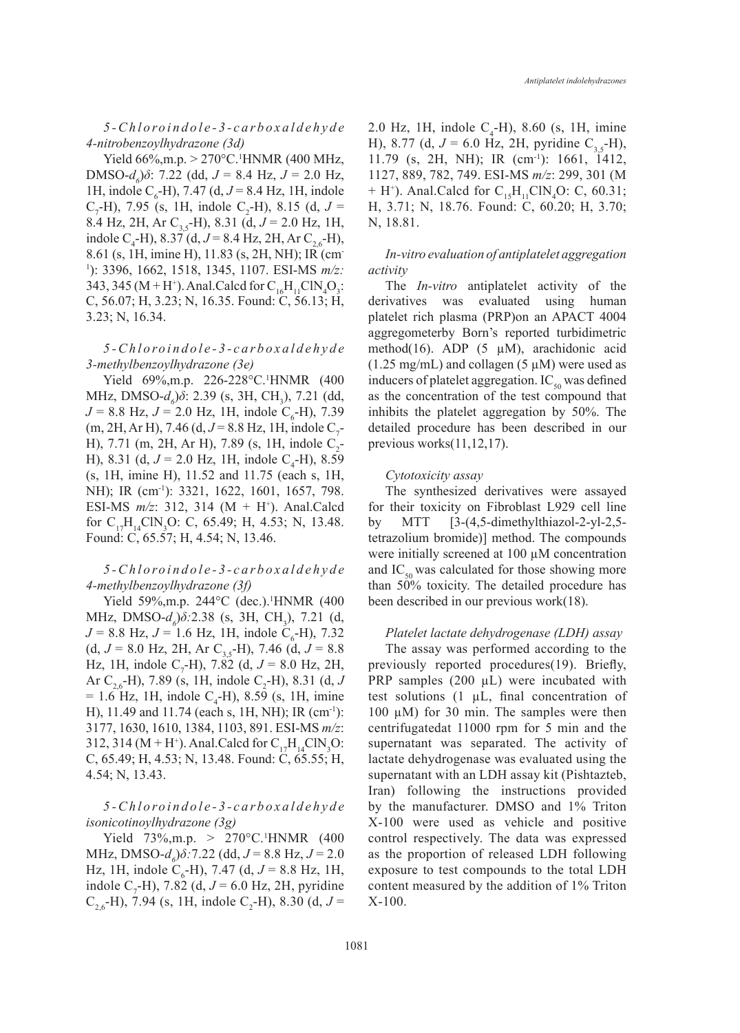*5 - C h l o ro i n d o l e - 3 - c a r b o x a l d e h y d e 4-nitrobenzoylhydrazone (3d)*

Yield 66%,m.p. > 270°C.<sup>1</sup>HNMR (400 MHz,  $DMSO-d<sub>δ</sub>$ ) $δ$ : 7.22 (dd,  $J = 8.4$  Hz,  $J = 2.0$  Hz, 1H, indole  $C_6$ -H), 7.47 (d,  $J = 8.4$  Hz, 1H, indole  $C_7$ -H), 7.95 (s, 1H, indole  $C_2$ -H), 8.15 (d, J = 8.4 Hz, 2H, Ar C<sub>3,5</sub>-H), 8.31 (d,  $J = 2.0$  Hz, 1H, indole C<sub>4</sub>-H), 8.37 (d,  $J = 8.4$  Hz, 2H, Ar C<sub>2,6</sub>-H), 8.61 (s, 1H, imine H), 11.83 (s, 2H, NH); IR (cm-1 ): 3396, 1662, 1518, 1345, 1107. ESI-MS *m/z:* 343, 345 (M + H<sup>+</sup>). Anal. Calcd for  $C_{16}H_{11}CIN_4O_3$ : C, 56.07; H, 3.23; N, 16.35. Found: C, 56.13; H, 3.23; N, 16.34.

# *5 - C h l o ro i n d o l e - 3 - c a r b o x a l d e h y d e 3-methylbenzoylhydrazone (3e)*

Yield 69%, m.p. 226-228 °C. <sup>1</sup>HNMR (400 MHz, DMSO-*d<sub>6</sub>*) $\delta$ : 2.39 (s, 3H, CH<sub>3</sub>), 7.21 (dd,  $J = 8.8$  Hz,  $J = 2.0$  Hz, 1H, indole C<sub>6</sub>-H), 7.39  $(m, 2H, ArH), 7.46$  (d,  $J = 8.8$  Hz, 1H, indole C<sub>7</sub>-H), 7.71 (m, 2H, Ar H), 7.89 (s, 1H, indole  $C_2$ -H), 8.31 (d,  $J = 2.0$  Hz, 1H, indole C<sub>4</sub>-H), 8.59 (s, 1H, imine H), 11.52 and 11.75 (each s, 1H, NH); IR (cm<sup>-1</sup>): 3321, 1622, 1601, 1657, 798. ESI-MS  $m/z$ : 312, 314 (M + H<sup>+</sup>). Anal.Calcd for  $C_{17}H_{14}CIN_3O$ : C, 65.49; H, 4.53; N, 13.48. Found: C, 65.57; H, 4.54; N, 13.46.

# *5 - C h l o ro i n d o l e - 3 - c a r b o x a l d e h y d e 4-methylbenzoylhydrazone (3f)*

Yield 59%, m.p. 244°C (dec.).<sup>1</sup>HNMR (400 MHz, DMSO-*d<sub>6</sub>*) $\delta$ :2.38 (s, 3H, CH<sub>3</sub>), 7.21 (d,  $J = 8.8$  Hz,  $J = 1.6$  Hz, 1H, indole C<sub>6</sub>-H), 7.32 (d,  $J = 8.0$  Hz, 2H, Ar C<sub>3,5</sub>-H), 7.46 (d,  $J = 8.8$ ) Hz, 1H, indole C<sub>7</sub>-H), 7.82 (d,  $J = 8.0$  Hz, 2H, Ar  $C_{2,6}$ -H), 7.89 (s, 1H, indole C<sub>2</sub>-H), 8.31 (d, J  $= 1.6$  Hz, 1H, indole C<sub>4</sub>-H), 8.59 (s, 1H, imine H), 11.49 and 11.74 (each s, 1H, NH); IR (cm-1): 3177, 1630, 1610, 1384, 1103, 891. ESI-MS *m/z*: 312, 314 (M + H<sup>+</sup>). Anal.Calcd for  $C_{17}H_{14}CIN_3O$ : C, 65.49; H, 4.53; N, 13.48. Found: C, 65.55; H, 4.54; N, 13.43.

# *5 - C h l o ro i n d o l e - 3 - c a r b o x a l d e h y d e isonicotinoylhydrazone (3g)*

Yield  $73\%, m.p. > 270\degree C$ .<sup>1</sup>HNMR (400  $MHz$ ,  $DMSO-d_6$ ) $\delta$ :7.22 (dd,  $J = 8.8$  Hz,  $J = 2.0$ Hz, 1H, indole  $C_6$ -H), 7.47 (d,  $J = 8.8$  Hz, 1H, indole C<sub>7</sub>-H), 7.82 (d,  $J = 6.0$  Hz, 2H, pyridine  $C_{2,6}$ -H), 7.94 (s, 1H, indole C<sub>2</sub>-H), 8.30 (d, J =

2.0 Hz, 1H, indole  $C_4$ -H), 8.60 (s, 1H, imine H), 8.77 (d,  $J = 6.0$  Hz, 2H, pyridine C<sub>3.5</sub>-H), 11.79 (s, 2H, NH); IR (cm-1): 1661, 1412, 1127, 889, 782, 749. ESI-MS *m/z*: 299, 301 (M + H<sup>+</sup>). Anal.Calcd for  $C_{15}H_{11}CIN_4O$ : C, 60.31; H, 3.71; N, 18.76. Found: C, 60.20; H, 3.70; N, 18.81.

# *In-vitro evaluation of antiplatelet aggregation activity*

The *In-vitro* antiplatelet activity of the derivatives was evaluated using human platelet rich plasma (PRP)on an APACT 4004 aggregometerby Born's reported turbidimetric method(16). ADP (5  $\mu$ M), arachidonic acid  $(1.25 \text{ mg/mL})$  and collagen  $(5 \mu M)$  were used as inducers of platelet aggregation.  $IC_{50}$  was defined as the concentration of the test compound that inhibits the platelet aggregation by 50%. The detailed procedure has been described in our previous works(11,12,17).

### *Cytotoxicity assay*

The synthesized derivatives were assayed for their toxicity on Fibroblast L929 cell line by MTT  $[3-(4,5-dimethylthiazol-2-yl-2,5-dimethylthiazol-2-yl-2,5-dimethylthiazol-2-yl-2,5-dimethylthiazol-2-yl-2,5-dimethylthiazol-2-yl-2,5-dimethylthiazol-2-yl-2,5-dimethylthiazol-2-yl-2,5-dimethylthiazol-2-yl-2,5-dimethylthiazol-2-yl-2,5-dimethylthiazol-2-yl-2,5-dimethylthiazol-2-yl-2,5-dimethylthiazol-2-yl-2,5-dimethylthiazol-2-yl-2,5-dimethylthiazol-2-yl-2,5-dimethylthiazol-2-yl$ tetrazolium bromide)] method. The compounds were initially screened at 100 µM concentration and  $IC_{50}$  was calculated for those showing more than 50% toxicity. The detailed procedure has been described in our previous work(18).

# *Platelet lactate dehydrogenase (LDH) assay*

The assay was performed according to the previously reported procedures(19). Briefly, PRP samples  $(200 \mu L)$  were incubated with test solutions (1 µL, final concentration of 100  $\mu$ M) for 30 min. The samples were then centrifugatedat 11000 rpm for 5 min and the supernatant was separated. The activity of lactate dehydrogenase was evaluated using the supernatant with an LDH assay kit (Pishtazteb, Iran) following the instructions provided by the manufacturer. DMSO and 1% Triton X-100 were used as vehicle and positive control respectively. The data was expressed as the proportion of released LDH following exposure to test compounds to the total LDH content measured by the addition of 1% Triton X-100.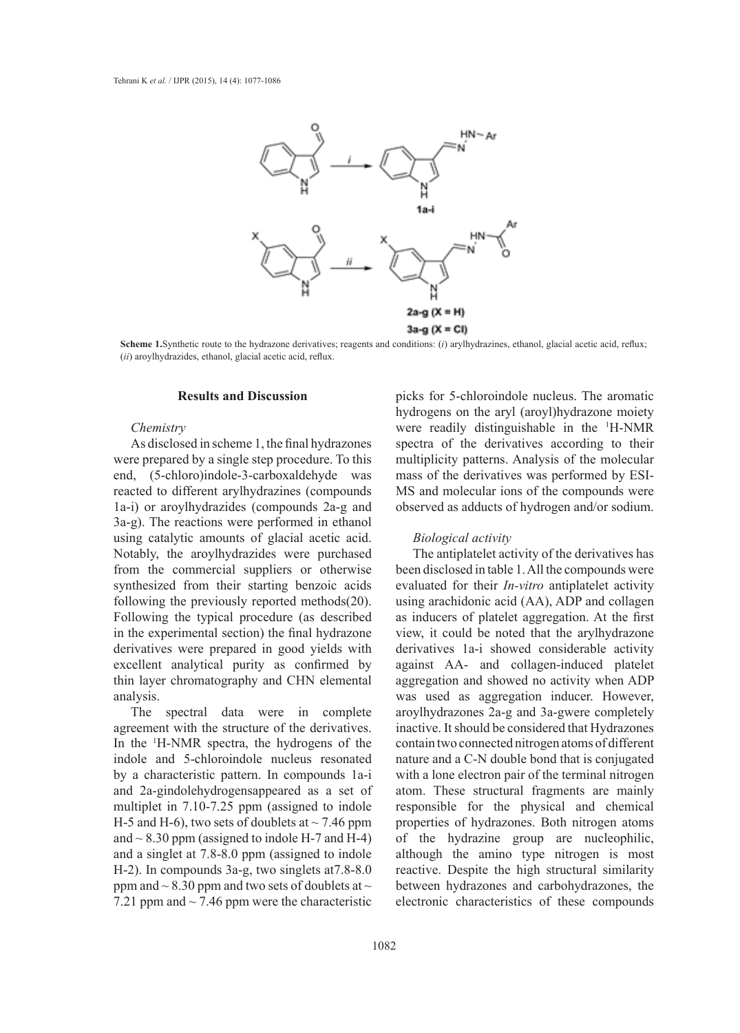

**Scheme 1.**Synthetic route to the hydrazone derivatives; reagents and conditions: (*i*) arylhydrazines, ethanol, glacial acetic acid, reflux; (*ii*) aroylhydrazides, ethanol, glacial acetic acid, reflux.

#### **Results and Discussion**

### *Chemistry*

As disclosed in scheme 1, the final hydrazones were prepared by a single step procedure. To this end, (5-chloro)indole-3-carboxaldehyde was reacted to different arylhydrazines (compounds 1a-i) or aroylhydrazides (compounds 2a-g and 3a-g). The reactions were performed in ethanol using catalytic amounts of glacial acetic acid. Notably, the aroylhydrazides were purchased from the commercial suppliers or otherwise synthesized from their starting benzoic acids following the previously reported methods(20). Following the typical procedure (as described in the experimental section) the final hydrazone derivatives were prepared in good yields with excellent analytical purity as confirmed by thin layer chromatography and CHN elemental analysis.

The spectral data were in complete agreement with the structure of the derivatives. In the 1 H-NMR spectra, the hydrogens of the indole and 5-chloroindole nucleus resonated by a characteristic pattern. In compounds 1a-i and 2a-gindolehydrogensappeared as a set of multiplet in 7.10-7.25 ppm (assigned to indole H-5 and H-6), two sets of doublets at  $\sim$  7.46 ppm and  $\sim$  8.30 ppm (assigned to indole H-7 and H-4) and a singlet at 7.8-8.0 ppm (assigned to indole H-2). In compounds 3a-g, two singlets at7.8-8.0 ppm and  $\sim$  8.30 ppm and two sets of doublets at  $\sim$ 7.21 ppm and  $\sim$  7.46 ppm were the characteristic

picks for 5-chloroindole nucleus. The aromatic hydrogens on the aryl (aroyl)hydrazone moiety were readily distinguishable in the 1 H-NMR spectra of the derivatives according to their multiplicity patterns. Analysis of the molecular mass of the derivatives was performed by ESI-MS and molecular ions of the compounds were observed as adducts of hydrogen and/or sodium.

### *Biological activity*

The antiplatelet activity of the derivatives has been disclosed in table 1. All the compounds were evaluated for their *In-vitro* antiplatelet activity using arachidonic acid (AA), ADP and collagen as inducers of platelet aggregation. At the first view, it could be noted that the arylhydrazone derivatives 1a-i showed considerable activity against AA- and collagen-induced platelet aggregation and showed no activity when ADP was used as aggregation inducer. However, aroylhydrazones 2a-g and 3a-gwere completely inactive. It should be considered that Hydrazones contain two connected nitrogen atoms of different nature and a C-N double bond that is conjugated with a lone electron pair of the terminal nitrogen atom. These structural fragments are mainly responsible for the physical and chemical properties of hydrazones. Both nitrogen atoms of the hydrazine group are nucleophilic, although the amino type nitrogen is most reactive. Despite the high structural similarity between hydrazones and carbohydrazones, the electronic characteristics of these compounds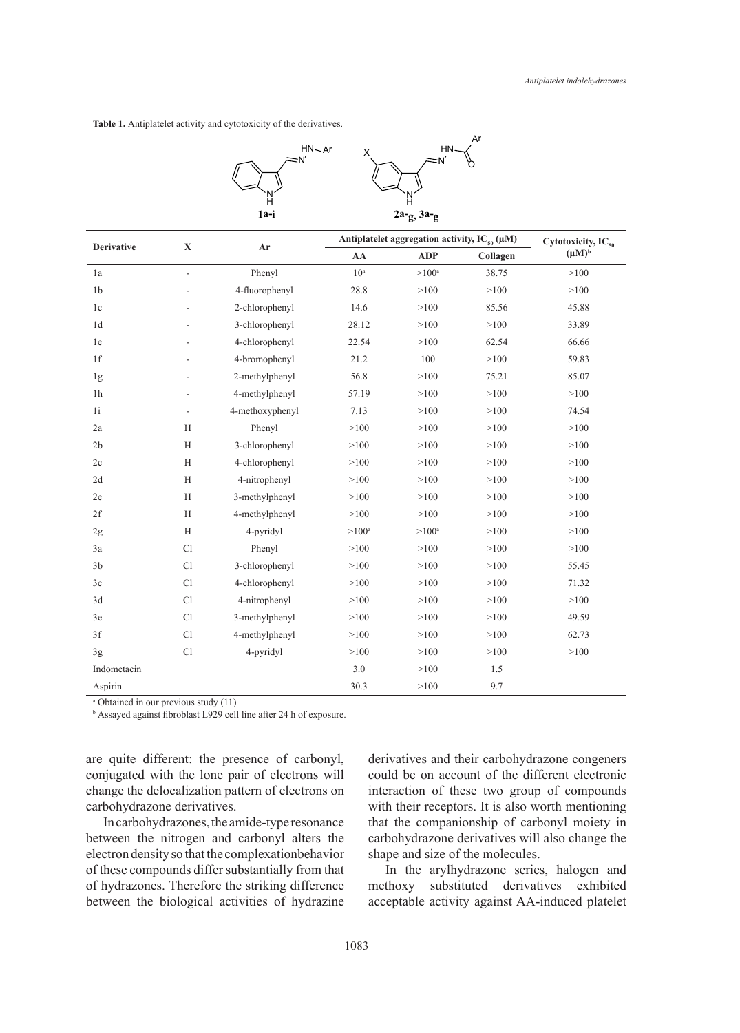**Table 1.** Antiplatelet activity and cytotoxicity of the derivatives.



| <b>Derivative</b> | $\mathbf X$ | Ar              | Antiplatelet aggregation activity, $IC_{s0}(\mu M)$ |                     |          | Cytotoxicity, $IC_{50}$ |
|-------------------|-------------|-----------------|-----------------------------------------------------|---------------------|----------|-------------------------|
|                   |             |                 | AA                                                  | <b>ADP</b>          | Collagen | $(\mu M)^b$             |
| 1a                | L,          | Phenyl          | 10 <sup>a</sup>                                     | $>100^{\rm a}$      | 38.75    | >100                    |
| 1 <sub>b</sub>    |             | 4-fluorophenyl  | 28.8                                                | >100                | >100     | >100                    |
| 1c                |             | 2-chlorophenyl  | 14.6                                                | >100                | 85.56    | 45.88                   |
| 1 <sub>d</sub>    |             | 3-chlorophenyl  | 28.12                                               | >100                | >100     | 33.89                   |
| 1e                |             | 4-chlorophenyl  | 22.54                                               | >100                | 62.54    | 66.66                   |
| 1f                |             | 4-bromophenyl   | 21.2                                                | 100                 | >100     | 59.83                   |
| 1g                |             | 2-methylphenyl  | 56.8                                                | >100                | 75.21    | 85.07                   |
| 1 <sub>h</sub>    |             | 4-methylphenyl  | 57.19                                               | >100                | >100     | >100                    |
| 1i                |             | 4-methoxyphenyl | 7.13                                                | >100                | >100     | 74.54                   |
| 2a                | H           | Phenyl          | >100                                                | >100                | >100     | >100                    |
| 2 <sub>b</sub>    | H           | 3-chlorophenyl  | >100                                                | >100                | >100     | >100                    |
| 2c                | H           | 4-chlorophenyl  | >100                                                | >100                | >100     | >100                    |
| 2d                | H           | 4-nitrophenyl   | >100                                                | >100                | >100     | >100                    |
| 2e                | H           | 3-methylphenyl  | >100                                                | >100                | >100     | >100                    |
| 2f                | H           | 4-methylphenyl  | >100                                                | >100                | >100     | >100                    |
| 2g                | H           | 4-pyridyl       | $>100^{\rm a}$                                      | $>100$ <sup>a</sup> | >100     | >100                    |
| 3a                | Cl          | Phenyl          | >100                                                | >100                | >100     | >100                    |
| 3 <sub>b</sub>    | Cl          | 3-chlorophenyl  | >100                                                | >100                | >100     | 55.45                   |
| 3c                | Cl          | 4-chlorophenyl  | >100                                                | >100                | >100     | 71.32                   |
| 3d                | Cl          | 4-nitrophenyl   | >100                                                | >100                | >100     | >100                    |
| 3e                | Cl          | 3-methylphenyl  | >100                                                | >100                | >100     | 49.59                   |
| 3f                | Cl          | 4-methylphenyl  | >100                                                | >100                | >100     | 62.73                   |
| 3g                | Cl          | 4-pyridyl       | >100                                                | >100                | >100     | >100                    |
| Indometacin       |             |                 | 3.0                                                 | >100                | 1.5      |                         |
| Aspirin           |             |                 | 30.3                                                | >100                | 9.7      |                         |

a Obtained in our previous study (11)

b Assayed against fibroblast L929 cell line after 24 h of exposure.

are quite different: the presence of carbonyl, conjugated with the lone pair of electrons will change the delocalization pattern of electrons on carbohydrazone derivatives.

In carbohydrazones, the amide-type resonance between the nitrogen and carbonyl alters the electron density so that the complexationbehavior of these compounds differ substantially from that of hydrazones. Therefore the striking difference between the biological activities of hydrazine derivatives and their carbohydrazone congeners could be on account of the different electronic interaction of these two group of compounds with their receptors. It is also worth mentioning that the companionship of carbonyl moiety in carbohydrazone derivatives will also change the shape and size of the molecules.

In the arylhydrazone series, halogen and methoxy substituted derivatives exhibited acceptable activity against AA-induced platelet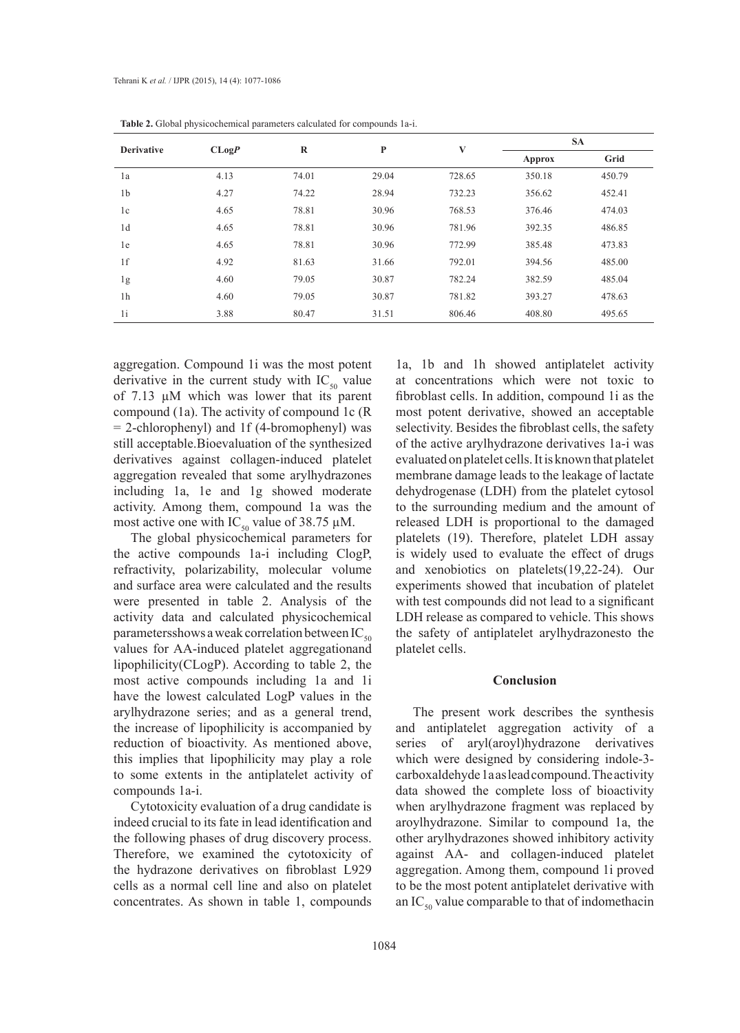| <b>Derivative</b> | CLogP | $\bf R$ | P     | V      | <b>SA</b> |        |
|-------------------|-------|---------|-------|--------|-----------|--------|
|                   |       |         |       |        | Approx    | Grid   |
| 1a                | 4.13  | 74.01   | 29.04 | 728.65 | 350.18    | 450.79 |
| 1 <sub>b</sub>    | 4.27  | 74.22   | 28.94 | 732.23 | 356.62    | 452.41 |
| 1c                | 4.65  | 78.81   | 30.96 | 768.53 | 376.46    | 474.03 |
| 1d                | 4.65  | 78.81   | 30.96 | 781.96 | 392.35    | 486.85 |
| 1e                | 4.65  | 78.81   | 30.96 | 772.99 | 385.48    | 473.83 |
| 1f                | 4.92  | 81.63   | 31.66 | 792.01 | 394.56    | 485.00 |
| 1g                | 4.60  | 79.05   | 30.87 | 782.24 | 382.59    | 485.04 |
| 1 <sub>h</sub>    | 4.60  | 79.05   | 30.87 | 781.82 | 393.27    | 478.63 |
| 1i                | 3.88  | 80.47   | 31.51 | 806.46 | 408.80    | 495.65 |

**Table 2.** Global physicochemical parameters calculated for compounds 1a-i.

aggregation. Compound 1i was the most potent derivative in the current study with  $IC_{50}$  value of 7.13 µM which was lower that its parent compound (1a). The activity of compound 1c (R = 2-chlorophenyl) and 1f (4-bromophenyl) was still acceptable.Bioevaluation of the synthesized derivatives against collagen-induced platelet aggregation revealed that some arylhydrazones including 1a, 1e and 1g showed moderate activity. Among them, compound 1a was the most active one with  $IC_{50}$  value of 38.75  $\mu$ M.

The global physicochemical parameters for the active compounds 1a-i including ClogP, refractivity, polarizability, molecular volume and surface area were calculated and the results were presented in table 2. Analysis of the activity data and calculated physicochemical parameters shows a weak correlation between  $IC_{50}$ values for AA-induced platelet aggregationand lipophilicity(CLogP). According to table 2, the most active compounds including 1a and 1i have the lowest calculated LogP values in the arylhydrazone series; and as a general trend, the increase of lipophilicity is accompanied by reduction of bioactivity. As mentioned above, this implies that lipophilicity may play a role to some extents in the antiplatelet activity of compounds 1a-i.

Cytotoxicity evaluation of a drug candidate is indeed crucial to its fate in lead identification and the following phases of drug discovery process. Therefore, we examined the cytotoxicity of the hydrazone derivatives on fibroblast L929 cells as a normal cell line and also on platelet concentrates. As shown in table 1, compounds

1a, 1b and 1h showed antiplatelet activity at concentrations which were not toxic to fibroblast cells. In addition, compound 1i as the most potent derivative, showed an acceptable selectivity. Besides the fibroblast cells, the safety of the active arylhydrazone derivatives 1a-i was evaluated on platelet cells. It is known that platelet membrane damage leads to the leakage of lactate dehydrogenase (LDH) from the platelet cytosol to the surrounding medium and the amount of released LDH is proportional to the damaged platelets (19). Therefore, platelet LDH assay is widely used to evaluate the effect of drugs and xenobiotics on platelets(19,22-24). Our experiments showed that incubation of platelet with test compounds did not lead to a significant LDH release as compared to vehicle. This shows the safety of antiplatelet arylhydrazonesto the platelet cells.

#### **Conclusion**

The present work describes the synthesis and antiplatelet aggregation activity of a series of aryl(aroyl)hydrazone derivatives which were designed by considering indole-3 carboxaldehyde 1a as lead compound. The activity data showed the complete loss of bioactivity when arylhydrazone fragment was replaced by aroylhydrazone. Similar to compound 1a, the other arylhydrazones showed inhibitory activity against AA- and collagen-induced platelet aggregation. Among them, compound 1i proved to be the most potent antiplatelet derivative with an  $IC_{50}$  value comparable to that of indomethacin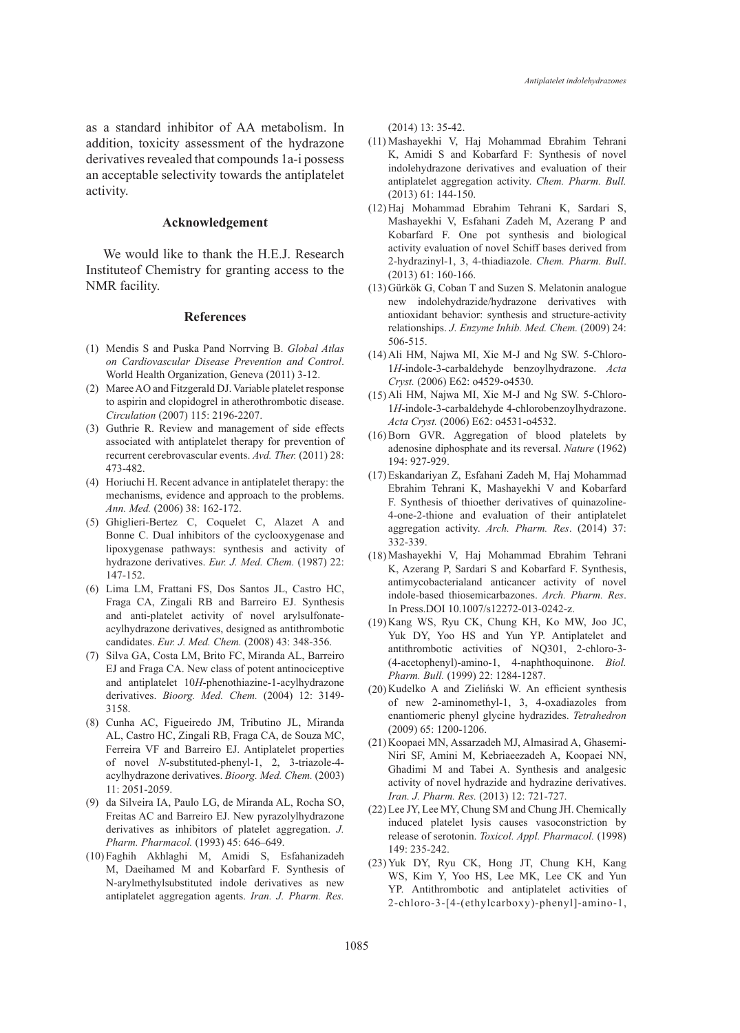as a standard inhibitor of AA metabolism. In addition, toxicity assessment of the hydrazone derivatives revealed that compounds 1a-i possess an acceptable selectivity towards the antiplatelet activity.

#### **Acknowledgement**

We would like to thank the H.E.J. Research Instituteof Chemistry for granting access to the NMR facility.

#### **References**

- Mendis S and Puska Pand Norrving B. *Global Atlas*  (1) *on Cardiovascular Disease Prevention and Control*. World Health Organization, Geneva (2011) 3-12.
- Maree AO and Fitzgerald DJ. Variable platelet response (2) to aspirin and clopidogrel in atherothrombotic disease. *Circulation* (2007) 115: 2196-2207.
- (3) Guthrie R. Review and management of side effects associated with antiplatelet therapy for prevention of recurrent cerebrovascular events. *Avd. Ther.* (2011) 28: 473-482.
- (4) Horiuchi H. Recent advance in antiplatelet therapy: the mechanisms, evidence and approach to the problems. *Ann. Med.* (2006) 38: 162-172.
- Ghiglieri-Bertez C, Coquelet C, Alazet A and (5) Bonne C. Dual inhibitors of the cyclooxygenase and lipoxygenase pathways: synthesis and activity of hydrazone derivatives. *Eur. J. Med. Chem.* (1987) 22: 147-152.
- Lima LM, Frattani FS, Dos Santos JL, Castro HC, (6) Fraga CA, Zingali RB and Barreiro EJ. Synthesis and anti-platelet activity of novel arylsulfonateacylhydrazone derivatives, designed as antithrombotic candidates. *Eur. J. Med. Chem.* (2008) 43: 348-356.
- (7) Silva GA, Costa LM, Brito FC, Miranda AL, Barreiro EJ and Fraga CA. New class of potent antinociceptive and antiplatelet 10*H*-phenothiazine-1-acylhydrazone derivatives. *Bioorg. Med. Chem.* (2004) 12: 3149- 3158.
- Cunha AC, Figueiredo JM, Tributino JL, Miranda (8) AL, Castro HC, Zingali RB, Fraga CA, de Souza MC, Ferreira VF and Barreiro EJ. Antiplatelet properties of novel *N*-substituted-phenyl-1, 2, 3-triazole-4 acylhydrazone derivatives. *Bioorg. Med. Chem.* (2003) 11: 2051-2059.
- da Silveira IA, Paulo LG, de Miranda AL, Rocha SO, (9) Freitas AC and Barreiro EJ. New pyrazolylhydrazone derivatives as inhibitors of platelet aggregation. *J. Pharm. Pharmacol.* (1993) 45: 646–649.
- Faghih Akhlaghi M, Amidi S, Esfahanizadeh (10) M, Daeihamed M and Kobarfard F. Synthesis of N-arylmethylsubstituted indole derivatives as new antiplatelet aggregation agents. *Iran. J. Pharm. Res.*

(2014) 13: 35-42.

- (11) Mashayekhi V, Haj Mohammad Ebrahim Tehrani K, Amidi S and Kobarfard F: Synthesis of novel indolehydrazone derivatives and evaluation of their antiplatelet aggregation activity. *Chem. Pharm. Bull.*  (2013) 61: 144-150.
- (12) Haj Mohammad Ebrahim Tehrani K, Sardari S, Mashayekhi V, Esfahani Zadeh M, Azerang P and Kobarfard F. One pot synthesis and biological activity evaluation of novel Schiff bases derived from 2-hydrazinyl-1, 3, 4-thiadiazole. *Chem. Pharm. Bull*. (2013) 61: 160-166.
- (13) Gürkök G, Coban T and Suzen S. Melatonin analogue new indolehydrazide/hydrazone derivatives with antioxidant behavior: synthesis and structure-activity relationships. *J. Enzyme Inhib. Med. Chem.* (2009) 24: 506-515.
- Ali HM, Najwa MI, Xie M-J and Ng SW. 5-Chloro-(14) 1*H*-indole-3-carbaldehyde benzoylhydrazone. *Acta Cryst.* (2006) E62: o4529-o4530.
- (15) Ali HM, Najwa MI, Xie M-J and Ng SW. 5-Chloro-1*H*-indole-3-carbaldehyde 4-chlorobenzoylhydrazone. *Acta Cryst.* (2006) E62: o4531-o4532.
- $(16)$  Born GVR. Aggregation of blood platelets by adenosine diphosphate and its reversal. *Nature* (1962) 194: 927-929.
- Eskandariyan Z, Esfahani Zadeh M, Haj Mohammad (17) Ebrahim Tehrani K, Mashayekhi V and Kobarfard F. Synthesis of thioether derivatives of quinazoline-4-one-2-thione and evaluation of their antiplatelet aggregation activity. *Arch. Pharm. Res*. (2014) 37: 332-339.
- (18) Mashayekhi V, Haj Mohammad Ebrahim Tehrani K, Azerang P, Sardari S and Kobarfard F. Synthesis, antimycobacterialand anticancer activity of novel indole-based thiosemicarbazones. *Arch. Pharm. Res*. In Press.DOI 10.1007/s12272-013-0242-z.
- (19) Kang WS, Ryu CK, Chung KH, Ko MW, Joo JC, Yuk DY, Yoo HS and Yun YP. Antiplatelet and antithrombotic activities of NQ301, 2-chloro-3- (4-acetophenyl)-amino-1, 4-naphthoquinone. *Biol. Pharm. Bull.* (1999) 22: 1284-1287.
- (20) Kudelko A and Zieliński W. An efficient synthesis of new 2-aminomethyl-1, 3, 4-oxadiazoles from enantiomeric phenyl glycine hydrazides. *Tetrahedron*  (2009) 65: 1200-1206.
- (21) Koopaei MN, Assarzadeh MJ, Almasirad A, Ghasemi-Niri SF, Amini M, Kebriaeezadeh A, Koopaei NN, Ghadimi M and Tabei A. Synthesis and analgesic activity of novel hydrazide and hydrazine derivatives. *Iran. J. Pharm. Res.* (2013) 12: 721-727.
- (22) Lee JY, Lee MY, Chung SM and Chung JH. Chemically induced platelet lysis causes vasoconstriction by release of serotonin. *Toxicol. Appl. Pharmacol.* (1998) 149: 235-242.
- (23) Yuk DY, Ryu CK, Hong JT, Chung KH, Kang WS, Kim Y, Yoo HS, Lee MK, Lee CK and Yun YP. Antithrombotic and antiplatelet activities of 2-chloro-3-[4-(ethylcarboxy)-phenyl]-amino-1,